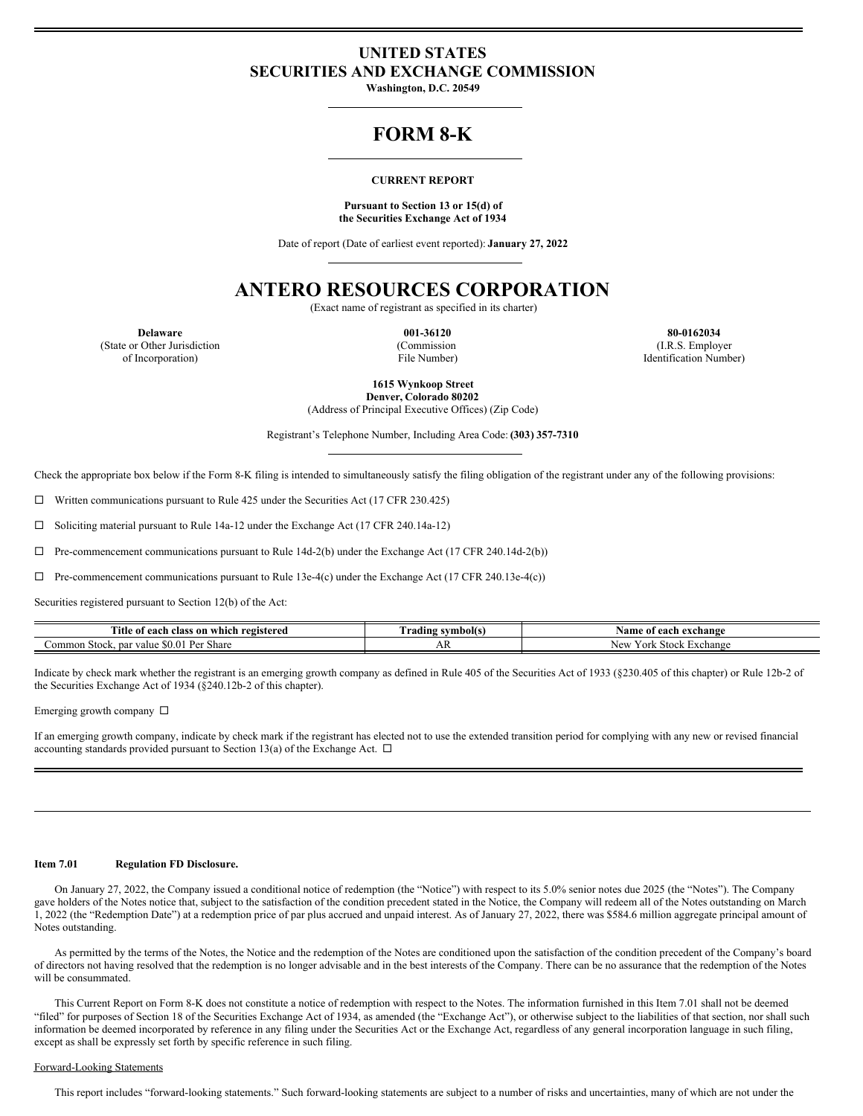### **UNITED STATES SECURITIES AND EXCHANGE COMMISSION**

**Washington, D.C. 20549**

## **FORM 8-K**

### **CURRENT REPORT**

#### **Pursuant to Section 13 or 15(d) of the Securities Exchange Act of 1934**

Date of report (Date of earliest event reported): **January 27, 2022**

# **ANTERO RESOURCES CORPORATION**

(Exact name of registrant as specified in its charter)

(State or Other Jurisdiction of Incorporation)

(Commission File Number)

**Delaware 001-36120 80-0162034** (I.R.S. Employer Identification Number)

**1615 Wynkoop Street**

**Denver, Colorado 80202** (Address of Principal Executive Offices) (Zip Code)

Registrant's Telephone Number, Including Area Code: **(303) 357-7310**

Check the appropriate box below if the Form 8-K filing is intended to simultaneously satisfy the filing obligation of the registrant under any of the following provisions:

 $\Box$  Written communications pursuant to Rule 425 under the Securities Act (17 CFR 230.425)

¨ Soliciting material pursuant to Rule 14a-12 under the Exchange Act (17 CFR 240.14a-12)

 $\Box$  Pre-commencement communications pursuant to Rule 14d-2(b) under the Exchange Act (17 CFR 240.14d-2(b))

 $\Box$  Pre-commencement communications pursuant to Rule 13e-4(c) under the Exchange Act (17 CFR 240.13e-4(c))

Securities registered pursuant to Section 12(b) of the Act:

| Title<br>ı registered<br>class on which<br>each<br>. OT | : symbol(s)<br>. radıng | Name<br>of each<br>. exchange              |
|---------------------------------------------------------|-------------------------|--------------------------------------------|
| Par<br>∠ommon<br>Share<br>Stock. par<br>value<br>$\sim$ | AΝ                      | Stock<br>Exchange<br>New<br>′ ork<br>1 V V |

Indicate by check mark whether the registrant is an emerging growth company as defined in Rule 405 of the Securities Act of 1933 (§230.405 of this chapter) or Rule 12b-2 of the Securities Exchange Act of 1934 (§240.12b-2 of this chapter).

Emerging growth company  $\square$ 

If an emerging growth company, indicate by check mark if the registrant has elected not to use the extended transition period for complying with any new or revised financial accounting standards provided pursuant to Section 13(a) of the Exchange Act.  $\Box$ 

### **Item 7.01 Regulation FD Disclosure.**

On January 27, 2022, the Company issued a conditional notice of redemption (the "Notice") with respect to its 5.0% senior notes due 2025 (the "Notes"). The Company gave holders of the Notes notice that, subject to the satisfaction of the condition precedent stated in the Notice, the Company will redeem all of the Notes outstanding on March 1, 2022 (the "Redemption Date") at a redemption price of par plus accrued and unpaid interest. As of January 27, 2022, there was \$584.6 million aggregate principal amount of Notes outstanding.

As permitted by the terms of the Notes, the Notice and the redemption of the Notes are conditioned upon the satisfaction of the condition precedent of the Company's board of directors not having resolved that the redemption is no longer advisable and in the best interests of the Company. There can be no assurance that the redemption of the Notes will be consummated.

This Current Report on Form 8-K does not constitute a notice of redemption with respect to the Notes. The information furnished in this Item 7.01 shall not be deemed "filed" for purposes of Section 18 of the Securities Exchange Act of 1934, as amended (the "Exchange Act"), or otherwise subject to the liabilities of that section, nor shall such information be deemed incorporated by reference in any filing under the Securities Act or the Exchange Act, regardless of any general incorporation language in such filing, except as shall be expressly set forth by specific reference in such filing.

### Forward-Looking Statements

This report includes "forward-looking statements." Such forward-looking statements are subject to a number of risks and uncertainties, many of which are not under the